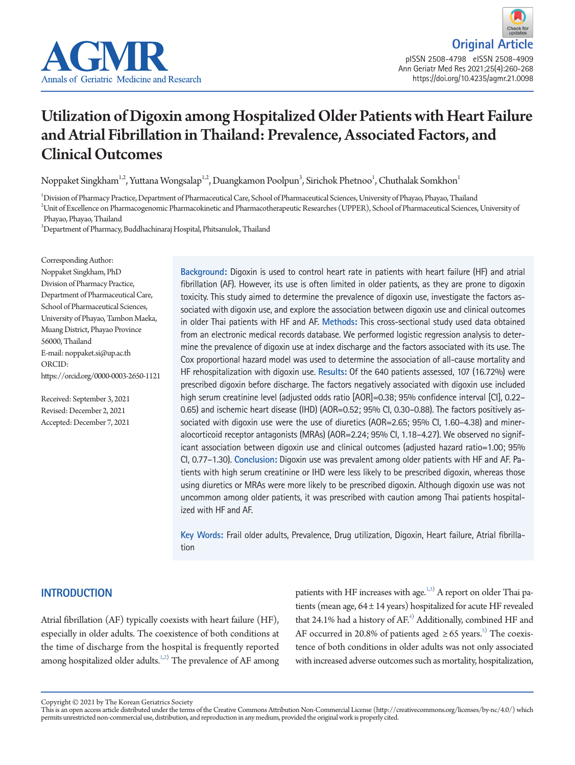

# Utilization of Digoxin among Hospitalized Older Patients with Heart Failure and Atrial Fibrillation in Thailand: Prevalence, Associated Factors, and Clinical Outcomes

Noppaket Singkham $^{\rm l,2}$ , Yuttana Wongsalap $^{\rm l,2}$ , Duangkamon Poolpun $^{\rm 3}$ , Sirichok Phetnoo $^{\rm l}$ , Chuthalak Somkhon $^{\rm l}$ 

1 Division of Pharmacy Practice, Department of Pharmaceutical Care, School of Pharmaceutical Sciences, University of Phayao, Phayao, Thailand 2 Unit of Excellence on Pharmacogenomic Pharmacokinetic and Pharmacotherapeutic Researches (UPPER), School of Pharmaceutical Sciences, University of Phayao, Phayao, Thailand

3 Department of Pharmacy, Buddhachinaraj Hospital, Phitsanulok, Thailand

Corresponding Author: Noppaket Singkham, PhD Division of Pharmacy Practice, Department of Pharmaceutical Care, School of Pharmaceutical Sciences, University of Phayao, Tambon Maeka, Muang District, Phayao Province 56000, Thailand E-mail: noppaket.si@up.ac.th ORCID: https://orcid.org/0000-0003-2650-1121

Received: September 3, 2021 Revised: December 2, 2021 Accepted: December 7, 2021

**Background:** Digoxin is used to control heart rate in patients with heart failure (HF) and atrial fibrillation (AF). However, its use is often limited in older patients, as they are prone to digoxin toxicity. This study aimed to determine the prevalence of digoxin use, investigate the factors associated with digoxin use, and explore the association between digoxin use and clinical outcomes in older Thai patients with HF and AF. **Methods:** This cross-sectional study used data obtained from an electronic medical records database. We performed logistic regression analysis to determine the prevalence of digoxin use at index discharge and the factors associated with its use. The Cox proportional hazard model was used to determine the association of all-cause mortality and HF rehospitalization with digoxin use. **Results:** Of the 640 patients assessed, 107 (16.72%) were prescribed digoxin before discharge. The factors negatively associated with digoxin use included high serum creatinine level (adjusted odds ratio [AOR]=0.38; 95% confidence interval [CI], 0.22– 0.65) and ischemic heart disease (IHD) (AOR=0.52; 95% CI, 0.30–0.88). The factors positively associated with digoxin use were the use of diuretics (AOR=2.65; 95% CI, 1.60–4.38) and mineralocorticoid receptor antagonists (MRAs) (AOR=2.24; 95% CI, 1.18–4.27). We observed no significant association between digoxin use and clinical outcomes (adjusted hazard ratio=1.00; 95% CI, 0.77–1.30). **Conclusion:** Digoxin use was prevalent among older patients with HF and AF. Patients with high serum creatinine or IHD were less likely to be prescribed digoxin, whereas those using diuretics or MRAs were more likely to be prescribed digoxin. Although digoxin use was not uncommon among older patients, it was prescribed with caution among Thai patients hospitalized with HF and AF.

**Key Words:** Frail older adults, Prevalence, Drug utilization, Digoxin, Heart failure, Atrial fibrillation

## **INTRODUCTION**

Atrial fibrillation (AF) typically coexists with heart failure (HF), especially in older adults. The coexistence of both conditions at the time of discharge from the hospital is frequently reported among hospitalized older adults. ${}^{1,2)}$  ${}^{1,2)}$  ${}^{1,2)}$  ${}^{1,2)}$  The prevalence of AF among

patients with HF increases with age.<sup>1[,3](#page-7-1))</sup> A report on older Thai patients (mean age,  $64 \pm 14$  years) hospitalized for acute HF revealed that 24.1% had a history of  $AF<sup>4</sup>$ . Additionally, combined HF and AF occurred in 20.8% of patients aged  $\geq 65$  years.<sup>5)</sup> The coexistence of both conditions in older adults was not only associated with increased adverse outcomes such as mortality, hospitalization,

Copyright © 2021 by The Korean Geriatrics Society<br>This is an open access article distributed under the terms of the Creative Commons Attribution Non-Commercial License (http://creativecommons.org/licenses/by-nc/4.0/) which permits unrestricted non-commercial use, distribution, and reproduction in any medium, provided the original work is properly cited.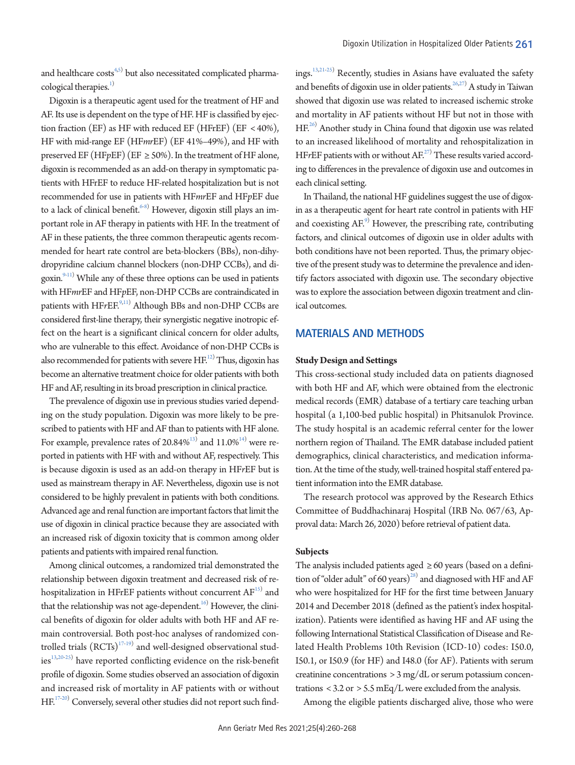and healthcare  $costs^{4,5)}$  $costs^{4,5)}$  $costs^{4,5)}$  but also necessitated complicated pharmacological therapies.<sup>1)</sup>

Digoxin is a therapeutic agent used for the treatment of HF and AF. Its use is dependent on the type of HF. HF is classified by ejection fraction (EF) as HF with reduced EF (HFrEF) (EF < 40%), HF with mid-range EF (HF*mr*EF) (EF 41%–49%), and HF with preserved EF (HF $p$ EF) (EF  $\geq$  50%). In the treatment of HF alone, digoxin is recommended as an add-on therapy in symptomatic patients with HFrEF to reduce HF-related hospitalization but is not recommended for use in patients with HF*mr*EF and HF*p*EF due to a lack of clinical benefit.<sup>[6-](#page-7-3)[8](#page-7-4))</sup> However, digoxin still plays an important role in AF therapy in patients with HF. In the treatment of AF in these patients, the three common therapeutic agents recommended for heart rate control are beta-blockers (BBs), non-dihydropyridine calcium channel blockers (non-DHP CCBs), and di-goxin.<sup>9[-11\)](#page-7-6)</sup> While any of these three options can be used in patients with HF*mr*EF and HF*p*EF, non-DHP CCBs are contraindicated in patients with HF*r*EF.<sup>[9](#page-7-5)[,11](#page-7-6))</sup> Although BBs and non-DHP CCBs are considered first-line therapy, their synergistic negative inotropic effect on the heart is a significant clinical concern for older adults, who are vulnerable to this effect. Avoidance of non-DHP CCBs is also recommended for patients with severe  $HF^{12)}$  $HF^{12)}$  $HF^{12)}$  Thus, digoxin has become an alternative treatment choice for older patients with both HF and AF, resulting in its broad prescription in clinical practice.

The prevalence of digoxin use in previous studies varied depending on the study population. Digoxin was more likely to be prescribed to patients with HF and AF than to patients with HF alone. For example, prevalence rates of 20.84% $^{13)}$  $^{13)}$  $^{13)}$  and  $11.0\% ^{14}$  $11.0\% ^{14}$  $11.0\% ^{14}$  were reported in patients with HF with and without AF, respectively. This is because digoxin is used as an add-on therapy in HF*r*EF but is used as mainstream therapy in AF. Nevertheless, digoxin use is not considered to be highly prevalent in patients with both conditions. Advanced age and renal function are important factors that limit the use of digoxin in clinical practice because they are associated with an increased risk of digoxin toxicity that is common among older patients and patients with impaired renal function.

Among clinical outcomes, a randomized trial demonstrated the relationship between digoxin treatment and decreased risk of rehospitalization in HFrEF patients without concurrent  $\mathrm{AF}^{\text{\tiny{IS}}}$  and that the relationship was not age-dependent. $^{16)}$  However, the clinical benefits of digoxin for older adults with both HF and AF remain controversial. Both post-hoc analyses of randomized controlled trials  $(\text{RCTs})^{17\text{-}19)}$  $(\text{RCTs})^{17\text{-}19)}$  $(\text{RCTs})^{17\text{-}19)}$  and well-designed observational studies $^{13,20\text{-}25)}$  $^{13,20\text{-}25)}$  $^{13,20\text{-}25)}$  $^{13,20\text{-}25)}$  $^{13,20\text{-}25)}$  have reported conflicting evidence on the risk-benefit profile of digoxin. Some studies observed an association of digoxin and increased risk of mortality in AF patients with or without  $\mathrm{HF}^{17\text{--}20)}$  $\mathrm{HF}^{17\text{--}20)}$  $\mathrm{HF}^{17\text{--}20)}$  Conversely, several other studies did not report such find-

ings.<sup>[13,](#page-7-7)[21](#page-7-14)[-25](#page-8-0))</sup> Recently, studies in Asians have evaluated the safety and benefits of digoxin use in older patients.<sup>26,[27](#page-8-2)</sup>) A study in Taiwan showed that digoxin use was related to increased ischemic stroke and mortality in AF patients without HF but not in those with HF.<sup>26)</sup> Another study in China found that digoxin use was related to an increased likelihood of mortality and rehospitalization in HF*rEF* patients with or without AF.<sup>27)</sup> These results varied according to differences in the prevalence of digoxin use and outcomes in each clinical setting.

In Thailand, the national HF guidelines suggest the use of digoxin as a therapeutic agent for heart rate control in patients with HF and coexisting AF.<sup>[9\)](#page-7-5)</sup> However, the prescribing rate, contributing factors, and clinical outcomes of digoxin use in older adults with both conditions have not been reported. Thus, the primary objective of the present study was to determine the prevalence and identify factors associated with digoxin use. The secondary objective was to explore the association between digoxin treatment and clinical outcomes.

#### **MATERIALS AND METHODS**

#### **Study Design and Settings**

This cross-sectional study included data on patients diagnosed with both HF and AF, which were obtained from the electronic medical records (EMR) database of a tertiary care teaching urban hospital (a 1,100-bed public hospital) in Phitsanulok Province. The study hospital is an academic referral center for the lower northern region of Thailand. The EMR database included patient demographics, clinical characteristics, and medication information. At the time of the study, well-trained hospital staff entered patient information into the EMR database.

The research protocol was approved by the Research Ethics Committee of Buddhachinaraj Hospital (IRB No. 067/63, Approval data: March 26, 2020) before retrieval of patient data.

#### **Subjects**

The analysis included patients aged  $\geq 60$  years (based on a definition of "older adult" of 60 years)<sup>28)</sup> and diagnosed with HF and AF who were hospitalized for HF for the first time between January 2014 and December 2018 (defined as the patient's index hospitalization). Patients were identified as having HF and AF using the following International Statistical Classification of Disease and Related Health Problems 10th Revision (ICD-10) codes: I50.0, I50.1, or I50.9 (for HF) and I48.0 (for AF). Patients with serum creatinine concentrations > 3 mg/dL or serum potassium concentrations < 3.2 or > 5.5 mEq/L were excluded from the analysis.

Among the eligible patients discharged alive, those who were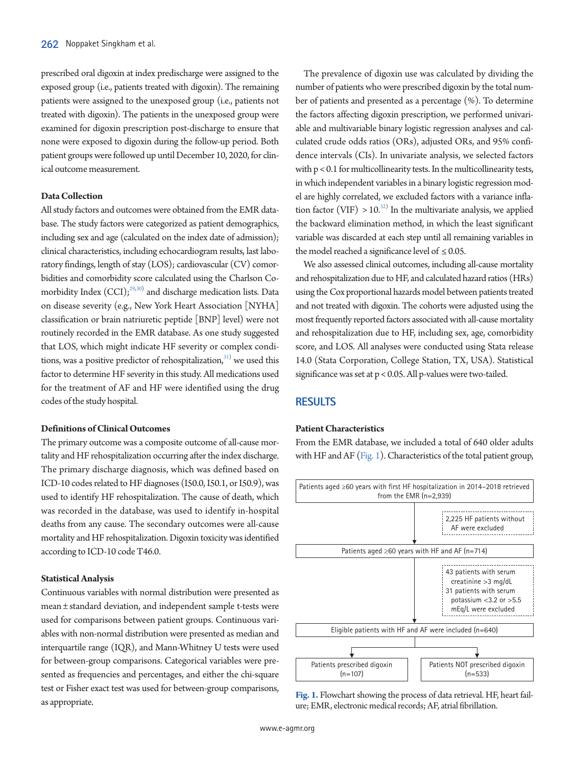prescribed oral digoxin at index predischarge were assigned to the exposed group (i.e., patients treated with digoxin). The remaining patients were assigned to the unexposed group (i.e., patients not treated with digoxin). The patients in the unexposed group were examined for digoxin prescription post-discharge to ensure that none were exposed to digoxin during the follow-up period. Both patient groups were followed up until December 10, 2020, for clinical outcome measurement.

#### **Data Collection**

All study factors and outcomes were obtained from the EMR database. The study factors were categorized as patient demographics, including sex and age (calculated on the index date of admission); clinical characteristics, including echocardiogram results, last laboratory findings, length of stay (LOS); cardiovascular (CV) comorbidities and comorbidity score calculated using the Charlson Comorbidity Index  $(CCI)$ ;<sup>29[,30\)](#page-8-5)</sup> and discharge medication lists. Data on disease severity (e.g., New York Heart Association [NYHA] classification or brain natriuretic peptide [BNP] level) were not routinely recorded in the EMR database. As one study suggested that LOS, which might indicate HF severity or complex conditions, was a positive predictor of rehospitalization, $31)$  $31)$  we used this factor to determine HF severity in this study. All medications used for the treatment of AF and HF were identified using the drug codes of the study hospital.

#### **Definitions of Clinical Outcomes**

The primary outcome was a composite outcome of all-cause mortality and HF rehospitalization occurring after the index discharge. The primary discharge diagnosis, which was defined based on ICD-10 codes related to HF diagnoses (I50.0, I50.1, or I50.9), was used to identify HF rehospitalization. The cause of death, which was recorded in the database, was used to identify in-hospital deaths from any cause. The secondary outcomes were all-cause mortality and HF rehospitalization. Digoxin toxicity was identified according to ICD-10 code T46.0.

#### **Statistical Analysis**

Continuous variables with normal distribution were presented as mean ± standard deviation, and independent sample t-tests were used for comparisons between patient groups. Continuous variables with non-normal distribution were presented as median and interquartile range (IQR), and Mann-Whitney U tests were used for between-group comparisons. Categorical variables were presented as frequencies and percentages, and either the chi-square test or Fisher exact test was used for between-group comparisons, as appropriate.

The prevalence of digoxin use was calculated by dividing the number of patients who were prescribed digoxin by the total number of patients and presented as a percentage (%). To determine the factors affecting digoxin prescription, we performed univariable and multivariable binary logistic regression analyses and calculated crude odds ratios (ORs), adjusted ORs, and 95% confidence intervals (CIs). In univariate analysis, we selected factors with p < 0.1 for multicollinearity tests. In the multicollinearity tests, in which independent variables in a binary logistic regression model are highly correlated, we excluded factors with a variance inflation factor (VIF)  $> 10^{32}$  In the multivariate analysis, we applied the backward elimination method, in which the least significant variable was discarded at each step until all remaining variables in the model reached a significance level of  $\leq 0.05$ .

We also assessed clinical outcomes, including all-cause mortality and rehospitalization due to HF, and calculated hazard ratios (HRs) using the Cox proportional hazards model between patients treated and not treated with digoxin. The cohorts were adjusted using the most frequently reported factors associated with all-cause mortality and rehospitalization due to HF, including sex, age, comorbidity score, and LOS. All analyses were conducted using Stata release 14.0 (Stata Corporation, College Station, TX, USA). Statistical significance was set at p < 0.05. All p-values were two-tailed.

## **RESULTS**

#### **Patient Characteristics**

From the EMR database, we included a total of 640 older adults with HF and AF [\(Fig. 1\)](#page-2-0). Characteristics of the total patient group,

<span id="page-2-0"></span>

**Fig. 1.** Flowchart showing the process of data retrieval. HF, heart failure; EMR, electronic medical records; AF, atrial fibrillation.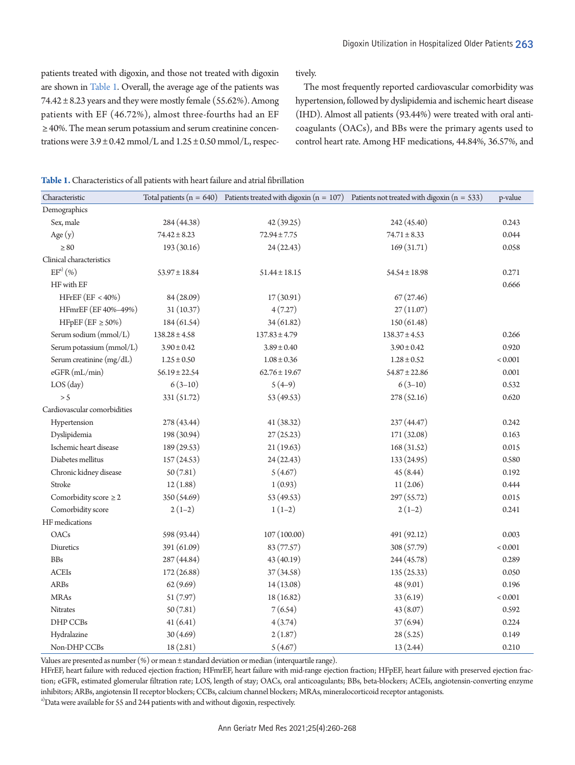patients treated with digoxin, and those not treated with digoxin are shown i[n Table 1](#page-3-0). Overall, the average age of the patients was  $74.42 \pm 8.23$  years and they were mostly female (55.62%). Among patients with EF (46.72%), almost three-fourths had an EF ≥ 40%. The mean serum potassium and serum creatinine concentrations were  $3.9 \pm 0.42$  mmol/L and  $1.25 \pm 0.50$  mmol/L, respectively.

The most frequently reported cardiovascular comorbidity was hypertension, followed by dyslipidemia and ischemic heart disease (IHD). Almost all patients (93.44%) were treated with oral anticoagulants (OACs), and BBs were the primary agents used to control heart rate. Among HF medications, 44.84%, 36.57%, and

<span id="page-3-0"></span>**Table 1.** Characteristics of all patients with heart failure and atrial fibrillation

| Characteristic               |                   |                   | Total patients $(n = 640)$ Patients treated with digoxin $(n = 107)$ Patients not treated with digoxin $(n = 533)$ | p-value |
|------------------------------|-------------------|-------------------|--------------------------------------------------------------------------------------------------------------------|---------|
| Demographics                 |                   |                   |                                                                                                                    |         |
| Sex, male                    | 284 (44.38)       | 42 (39.25)        | 242 (45.40)                                                                                                        | 0.243   |
| Age $(y)$                    | $74.42 \pm 8.23$  | $72.94 \pm 7.75$  | $74.71 \pm 8.33$                                                                                                   | 0.044   |
| $\geq 80$                    | 193 (30.16)       | 24(22.43)         | 169(31.71)                                                                                                         | 0.058   |
| Clinical characteristics     |                   |                   |                                                                                                                    |         |
| $EF^{a)}(\% )$               | $53.97 \pm 18.84$ | $51.44 \pm 18.15$ | $54.54 \pm 18.98$                                                                                                  | 0.271   |
| HF with EF                   |                   |                   |                                                                                                                    | 0.666   |
| HFrEF $(EF < 40\%)$          | 84 (28.09)        | 17(30.91)         | 67(27.46)                                                                                                          |         |
| HFmrEF (EF 40%-49%)          | 31(10.37)         | 4(7.27)           | 27(11.07)                                                                                                          |         |
| HFpEF (EF $\geq$ 50%)        | 184 (61.54)       | 34(61.82)         | 150 (61.48)                                                                                                        |         |
| Serum sodium (mmol/L)        | $138.28 \pm 4.58$ | $137.83 \pm 4.79$ | $138.37 \pm 4.53$                                                                                                  | 0.266   |
| Serum potassium (mmol/L)     | $3.90 \pm 0.42$   | $3.89 \pm 0.40$   | $3.90 \pm 0.42$                                                                                                    | 0.920   |
| Serum creatinine (mg/dL)     | $1.25 \pm 0.50$   | $1.08 \pm 0.36$   | $1.28 \pm 0.52$                                                                                                    | < 0.001 |
| eGFR (mL/min)                | $56.19 \pm 22.54$ | $62.76 \pm 19.67$ | $54.87 \pm 22.86$                                                                                                  | 0.001   |
| $LOS$ $(day)$                | $6(3-10)$         | $5(4-9)$          | $6(3-10)$                                                                                                          | 0.532   |
| > 5                          | 331 (51.72)       | 53 (49.53)        | 278 (52.16)                                                                                                        | 0.620   |
| Cardiovascular comorbidities |                   |                   |                                                                                                                    |         |
| Hypertension                 | 278 (43.44)       | 41 (38.32)        | 237 (44.47)                                                                                                        | 0.242   |
| Dyslipidemia                 | 198 (30.94)       | 27(25.23)         | 171 (32.08)                                                                                                        | 0.163   |
| Ischemic heart disease       | 189 (29.53)       | 21(19.63)         | 168(31.52)                                                                                                         | 0.015   |
| Diabetes mellitus            | 157(24.53)        | 24(22.43)         | 133(24.95)                                                                                                         | 0.580   |
| Chronic kidney disease       | 50(7.81)          | 5(4.67)           | 45(8.44)                                                                                                           | 0.192   |
| Stroke                       | 12(1.88)          | 1(0.93)           | 11(2.06)                                                                                                           | 0.444   |
| Comorbidity score $\geq 2$   | 350 (54.69)       | 53 (49.53)        | 297 (55.72)                                                                                                        | 0.015   |
| Comorbidity score            | $2(1-2)$          | $1(1-2)$          | $2(1-2)$                                                                                                           | 0.241   |
| HF medications               |                   |                   |                                                                                                                    |         |
| <b>OACs</b>                  | 598 (93.44)       | 107 (100.00)      | 491 (92.12)                                                                                                        | 0.003   |
| Diuretics                    | 391 (61.09)       | 83 (77.57)        | 308 (57.79)                                                                                                        | < 0.001 |
| $\rm{BBs}$                   | 287 (44.84)       | 43 (40.19)        | 244 (45.78)                                                                                                        | 0.289   |
| <b>ACEIs</b>                 | 172(26.88)        | 37 (34.58)        | 135 (25.33)                                                                                                        | 0.050   |
| ARBs                         | 62(9.69)          | 14(13.08)         | 48 (9.01)                                                                                                          | 0.196   |
| <b>MRAs</b>                  | 51(7.97)          | 18 (16.82)        | 33(6.19)                                                                                                           | < 0.001 |
| <b>Nitrates</b>              | 50(7.81)          | 7(6.54)           | 43 (8.07)                                                                                                          | 0.592   |
| DHP CCBs                     | 41(6.41)          | 4(3.74)           | 37(6.94)                                                                                                           | 0.224   |
| Hydralazine                  | 30(4.69)          | 2(1.87)           | 28(5.25)                                                                                                           | 0.149   |
| Non-DHP CCBs                 | 18(2.81)          | 5(4.67)           | 13(2.44)                                                                                                           | 0.210   |

Values are presented as number (%) or mean ± standard deviation or median (interquartile range).

HFrEF, heart failure with reduced ejection fraction; HFmrEF, heart failure with mid-range ejection fraction; HFpEF, heart failure with preserved ejection fraction; eGFR, estimated glomerular filtration rate; LOS, length of stay; OACs, oral anticoagulants; BBs, beta-blockers; ACEIs, angiotensin-converting enzyme inhibitors; ARBs, angiotensin II receptor blockers; CCBs, calcium channel blockers; MRAs, mineralocorticoid receptor antagonists.

<sup>a)</sup>Data were available for 55 and 244 patients with and without digoxin, respectively.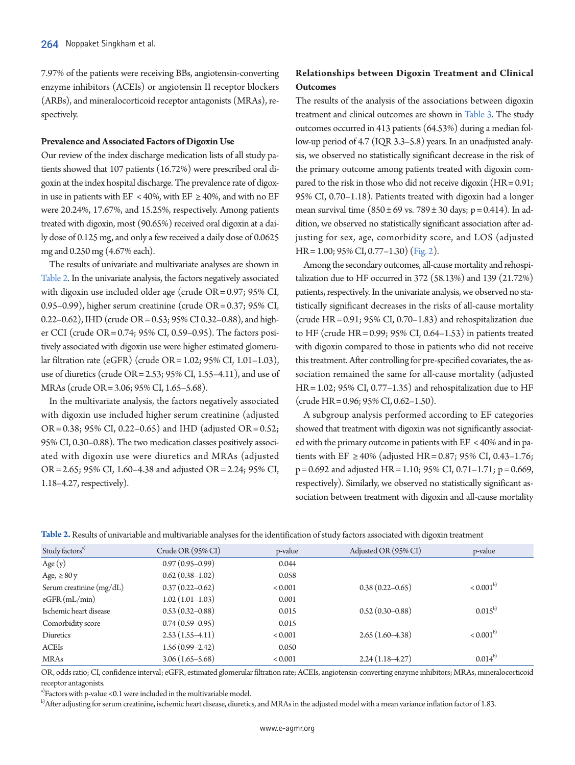7.97% of the patients were receiving BBs, angiotensin-converting enzyme inhibitors (ACEIs) or angiotensin II receptor blockers (ARBs), and mineralocorticoid receptor antagonists (MRAs), respectively.

#### **Prevalence and Associated Factors of Digoxin Use**

Our review of the index discharge medication lists of all study patients showed that 107 patients (16.72%) were prescribed oral digoxin at the index hospital discharge. The prevalence rate of digoxin use in patients with EF < 40%, with EF  $\geq$  40%, and with no EF were 20.24%, 17.67%, and 15.25%, respectively. Among patients treated with digoxin, most (90.65%) received oral digoxin at a daily dose of 0.125 mg, and only a few received a daily dose of 0.0625 mg and 0.250 mg (4.67% each).

The results of univariate and multivariate analyses are shown in [Table 2](#page-4-0). In the univariate analysis, the factors negatively associated with digoxin use included older age (crude OR = 0.97; 95% CI, 0.95–0.99), higher serum creatinine (crude OR = 0.37; 95% CI, 0.22-0.62), IHD (crude OR = 0.53; 95% CI 0.32-0.88), and higher CCI (crude OR = 0.74; 95% CI, 0.59–0.95). The factors positively associated with digoxin use were higher estimated glomerular filtration rate (eGFR) (crude OR = 1.02; 95% CI, 1.01–1.03), use of diuretics (crude OR = 2.53; 95% CI, 1.55–4.11), and use of MRAs (crude OR = 3.06; 95% CI, 1.65–5.68).

In the multivariate analysis, the factors negatively associated with digoxin use included higher serum creatinine (adjusted OR = 0.38; 95% CI, 0.22–0.65) and IHD (adjusted OR = 0.52; 95% CI, 0.30–0.88). The two medication classes positively associated with digoxin use were diuretics and MRAs (adjusted OR = 2.65; 95% CI, 1.60–4.38 and adjusted OR = 2.24; 95% CI, 1.18–4.27, respectively).

## **Relationships between Digoxin Treatment and Clinical Outcomes**

The results of the analysis of the associations between digoxin treatment and clinical outcomes are shown i[n Table 3](#page-5-0). The study outcomes occurred in 413 patients (64.53%) during a median follow-up period of 4.7 (IQR 3.3–5.8) years. In an unadjusted analysis, we observed no statistically significant decrease in the risk of the primary outcome among patients treated with digoxin compared to the risk in those who did not receive digoxin (HR = 0.91; 95% CI, 0.70–1.18). Patients treated with digoxin had a longer mean survival time  $(850 \pm 69 \text{ vs. } 789 \pm 30 \text{ days}; \text{ p} = 0.414)$ . In addition, we observed no statistically significant association after adjusting for sex, age, comorbidity score, and LOS (adjusted HR = 1.00; 95% CI, 0.77–1.30) [\(Fig. 2\)](#page-5-1).

Among the secondary outcomes, all-cause mortality and rehospitalization due to HF occurred in 372 (58.13%) and 139 (21.72%) patients, respectively. In the univariate analysis, we observed no statistically significant decreases in the risks of all-cause mortality (crude HR = 0.91; 95% CI, 0.70–1.83) and rehospitalization due to HF (crude HR =  $0.99$ ;  $95\%$  CI,  $0.64-1.53$ ) in patients treated with digoxin compared to those in patients who did not receive this treatment. After controlling for pre-specified covariates, the association remained the same for all-cause mortality (adjusted HR = 1.02; 95% CI, 0.77–1.35) and rehospitalization due to HF (crude HR = 0.96; 95% CI, 0.62–1.50).

A subgroup analysis performed according to EF categories showed that treatment with digoxin was not significantly associated with the primary outcome in patients with EF < 40% and in patients with EF ≥ 40% (adjusted HR = 0.87; 95% CI, 0.43-1.76;  $p = 0.692$  and adjusted HR = 1.10; 95% CI, 0.71-1.71;  $p = 0.669$ , respectively). Similarly, we observed no statistically significant association between treatment with digoxin and all-cause mortality

<span id="page-4-0"></span>

| Table 2. Results of univariable and multivariable analyses for the identification of study factors associated with digoxin treatment |  |  |
|--------------------------------------------------------------------------------------------------------------------------------------|--|--|
|                                                                                                                                      |  |  |

| Study factors <sup>a)</sup> | Crude OR (95% CI)   | p-value | Adjusted OR (95% CI) | p-value       |
|-----------------------------|---------------------|---------|----------------------|---------------|
| Age $(y)$                   | $0.97(0.95-0.99)$   | 0.044   |                      |               |
| Age, $\geq 80y$             | $0.62(0.38-1.02)$   | 0.058   |                      |               |
| Serum creatinine $(mg/dL)$  | $0.37(0.22 - 0.62)$ | < 0.001 | $0.38(0.22 - 0.65)$  | $< 0.001^{b}$ |
| eGFR(mL/min)                | $1.02(1.01-1.03)$   | 0.001   |                      |               |
| Ischemic heart disease      | $0.53(0.32 - 0.88)$ | 0.015   | $0.52(0.30 - 0.88)$  | $0.015^{b}$   |
| Comorbidity score           | $0.74(0.59-0.95)$   | 0.015   |                      |               |
| Diuretics                   | $2.53(1.55-4.11)$   | < 0.001 | $2.65(1.60-4.38)$    | $< 0.001^{b}$ |
| ACEIs                       | $1.56(0.99 - 2.42)$ | 0.050   |                      |               |
| MRAs                        | $3.06(1.65 - 5.68)$ | < 0.001 | $2.24(1.18-4.27)$    | $0.014^{b}$   |

OR, odds ratio; CI, confidence interval; eGFR, estimated glomerular filtration rate; ACEIs, angiotensin-converting enzyme inhibitors; MRAs, mineralocorticoid receptor antagonists.

a)Factors with p-value <0.1 were included in the multivariable model.

b) After adjusting for serum creatinine, ischemic heart disease, diuretics, and MRAs in the adjusted model with a mean variance inflation factor of 1.83.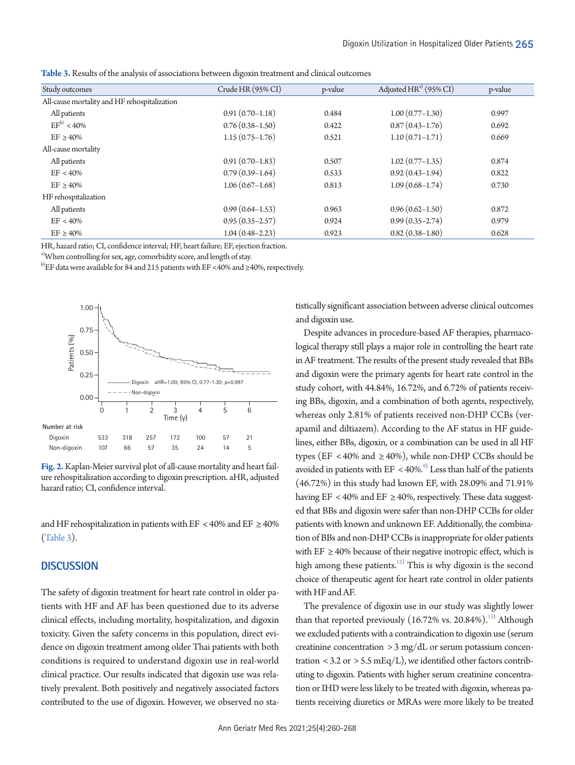| Study outcomes                               | Crude HR (95% CI)   | p-value | Adjusted HR <sup>a)</sup> (95% CI) | p-value |
|----------------------------------------------|---------------------|---------|------------------------------------|---------|
| All-cause mortality and HF rehospitalization |                     |         |                                    |         |
| All patients                                 | $0.91(0.70-1.18)$   | 0.484   | $1.00(0.77-1.30)$                  | 0.997   |
| $EF^{b}$ < 40%                               | $0.76(0.38-1.50)$   | 0.422   | $0.87(0.43 - 1.76)$                | 0.692   |
| $EF \geq 40\%$                               | $1.15(0.75-1.76)$   | 0.521   | $1.10(0.71 - 1.71)$                | 0.669   |
| All-cause mortality                          |                     |         |                                    |         |
| All patients                                 | $0.91(0.70-1.83)$   | 0.507   | $1.02(0.77-1.35)$                  | 0.874   |
| $EF < 40\%$                                  | $0.79(0.39-1.64)$   | 0.533   | $0.92(0.43 - 1.94)$                | 0.822   |
| $EF \geq 40\%$                               | $1.06(0.67-1.68)$   | 0.813   | $1.09(0.68 - 1.74)$                | 0.730   |
| HF rehospitalization                         |                     |         |                                    |         |
| All patients                                 | $0.99(0.64 - 1.53)$ | 0.963   | $0.96(0.62 - 1.50)$                | 0.872   |
| $EF < 40\%$                                  | $0.95(0.35-2.57)$   | 0.924   | $0.99(0.35 - 2.74)$                | 0.979   |
| $EF \geq 40\%$                               | $1.04(0.48 - 2.23)$ | 0.923   | $0.82(0.38 - 1.80)$                | 0.628   |

<span id="page-5-0"></span>**Table 3.** Results of the analysis of associations between digoxin treatment and clinical outcomes

HR, hazard ratio; CI, confidence interval; HF, heart failure; EF, ejection fraction.

<sup>a)</sup>When controlling for sex, age, comorbidity score, and length of stay.

b)EF data were available for 84 and 215 patients with EF <40% and ≥40%, respectively.

<span id="page-5-1"></span>

**Fig. 2.** Kaplan-Meier survival plot of all-cause mortality and heart failure rehospitalization according to digoxin prescription. aHR, adjusted hazard ratio; CI, confidence interval.

and HF rehospitalization in patients with EF < 40% and EF  $\geq$  40% [\(Table 3\)](#page-5-0).

#### **DISCUSSION**

The safety of digoxin treatment for heart rate control in older patients with HF and AF has been questioned due to its adverse clinical effects, including mortality, hospitalization, and digoxin toxicity. Given the safety concerns in this population, direct evidence on digoxin treatment among older Thai patients with both conditions is required to understand digoxin use in real-world clinical practice. Our results indicated that digoxin use was relatively prevalent. Both positively and negatively associated factors contributed to the use of digoxin. However, we observed no sta-

tistically significant association between adverse clinical outcomes and digoxin use.

Despite advances in procedure-based AF therapies, pharmacological therapy still plays a major role in controlling the heart rate in AF treatment. The results of the present study revealed that BBs and digoxin were the primary agents for heart rate control in the study cohort, with 44.84%, 16.72%, and 6.72% of patients receiving BBs, digoxin, and a combination of both agents, respectively, whereas only 2.81% of patients received non-DHP CCBs (verapamil and diltiazem). According to the AF status in HF guidelines, either BBs, digoxin, or a combination can be used in all HF types (EF < 40% and  $\geq$  40%), while non-DHP CCBs should be avoided in patients with  $EF < 40\%$ .<sup>9</sup> Less than half of the patients (46.72%) in this study had known EF, with 28.09% and 71.91% having EF < 40% and EF  $\geq$  40%, respectively. These data suggested that BBs and digoxin were safer than non-DHP CCBs for older patients with known and unknown EF. Additionally, the combination of BBs and non-DHP CCBs is inappropriate for older patients with EF  $\geq$  40% because of their negative inotropic effect, which is high among these patients.<sup>12)</sup> This is why digoxin is the second choice of therapeutic agent for heart rate control in older patients with HF and AF.

The prevalence of digoxin use in our study was slightly lower than that reported previously  $(16.72\% \text{ vs. } 20.84\%).$ <sup>13)</sup> Although we excluded patients with a contraindication to digoxin use (serum creatinine concentration > 3 mg/dL or serum potassium concentration  $<$  3.2 or  $>$  5.5 mEq/L), we identified other factors contributing to digoxin. Patients with higher serum creatinine concentration or IHD were less likely to be treated with digoxin, whereas patients receiving diuretics or MRAs were more likely to be treated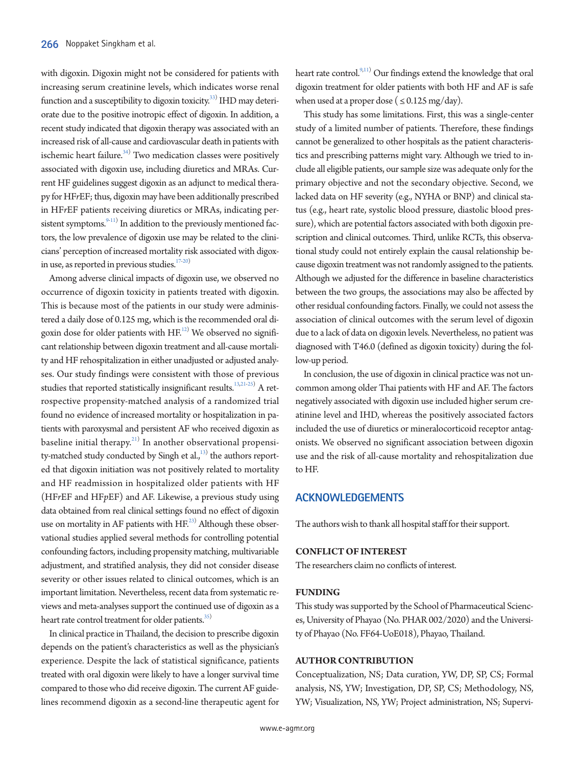with digoxin. Digoxin might not be considered for patients with increasing serum creatinine levels, which indicates worse renal function and a susceptibility to digoxin toxicity. $^{\rm 33)}$  IHD may deteriorate due to the positive inotropic effect of digoxin. In addition, a recent study indicated that digoxin therapy was associated with an increased risk of all-cause and cardiovascular death in patients with ischemic heart failure. $34)$  Two medication classes were positively associated with digoxin use, including diuretics and MRAs. Current HF guidelines suggest digoxin as an adjunct to medical therapy for HF*r*EF; thus, digoxin may have been additionally prescribed in HF*r*EF patients receiving diuretics or MRAs, indicating persistent symptoms. $9-11)$  In addition to the previously mentioned factors, the low prevalence of digoxin use may be related to the clinicians' perception of increased mortality risk associated with digoxin use, as reported in previous studies. $17-20$ 

Among adverse clinical impacts of digoxin use, we observed no occurrence of digoxin toxicity in patients treated with digoxin. This is because most of the patients in our study were administered a daily dose of 0.125 mg, which is the recommended oral digoxin dose for older patients with  $\rm HF^{12)}$  We observed no significant relationship between digoxin treatment and all-cause mortality and HF rehospitalization in either unadjusted or adjusted analyses. Our study findings were consistent with those of previous studies that reported statistically insignificant results.<sup>13,21-25)</sup> A retrospective propensity-matched analysis of a randomized trial found no evidence of increased mortality or hospitalization in patients with paroxysmal and persistent AF who received digoxin as baseline initial therapy. $^{21)}$  In another observational propensity-matched study conducted by Singh et al.,<sup>13)</sup> the authors reported that digoxin initiation was not positively related to mortality and HF readmission in hospitalized older patients with HF (HF*r*EF and HF*p*EF) and AF. Likewise, a previous study using data obtained from real clinical settings found no effect of digoxin use on mortality in AF patients with  $HF^{(23)}$  $HF^{(23)}$  $HF^{(23)}$  Although these observational studies applied several methods for controlling potential confounding factors, including propensity matching, multivariable adjustment, and stratified analysis, they did not consider disease severity or other issues related to clinical outcomes, which is an important limitation. Nevertheless, recent data from systematic reviews and meta-analyses support the continued use of digoxin as a heart rate control treatment for older patients.<sup>35)</sup>

In clinical practice in Thailand, the decision to prescribe digoxin depends on the patient's characteristics as well as the physician's experience. Despite the lack of statistical significance, patients treated with oral digoxin were likely to have a longer survival time compared to those who did receive digoxin. The current AF guidelines recommend digoxin as a second-line therapeutic agent for

heart rate control.<sup>9,11)</sup> Our findings extend the knowledge that oral digoxin treatment for older patients with both HF and AF is safe when used at a proper dose ( $\leq 0.125$  mg/day).

This study has some limitations. First, this was a single-center study of a limited number of patients. Therefore, these findings cannot be generalized to other hospitals as the patient characteristics and prescribing patterns might vary. Although we tried to include all eligible patients, our sample size was adequate only for the primary objective and not the secondary objective. Second, we lacked data on HF severity (e.g., NYHA or BNP) and clinical status (e.g., heart rate, systolic blood pressure, diastolic blood pressure), which are potential factors associated with both digoxin prescription and clinical outcomes. Third, unlike RCTs, this observational study could not entirely explain the causal relationship because digoxin treatment was not randomly assigned to the patients. Although we adjusted for the difference in baseline characteristics between the two groups, the associations may also be affected by other residual confounding factors. Finally, we could not assess the association of clinical outcomes with the serum level of digoxin due to a lack of data on digoxin levels. Nevertheless, no patient was diagnosed with T46.0 (defined as digoxin toxicity) during the follow-up period.

In conclusion, the use of digoxin in clinical practice was not uncommon among older Thai patients with HF and AF. The factors negatively associated with digoxin use included higher serum creatinine level and IHD, whereas the positively associated factors included the use of diuretics or mineralocorticoid receptor antagonists. We observed no significant association between digoxin use and the risk of all-cause mortality and rehospitalization due to HF.

### **ACKNOWLEDGEMENTS**

The authors wish to thank all hospital staff for their support.

#### **CONFLICT OF INTEREST**

The researchers claim no conflicts of interest.

## **FUNDING**

This study was supported by the School of Pharmaceutical Sciences, University of Phayao (No. PHAR 002/2020) and the University of Phayao (No. FF64-UoE018), Phayao, Thailand.

## **AUTHOR CONTRIBUTION**

<span id="page-6-0"></span>Conceptualization, NS; Data curation, YW, DP, SP, CS; Formal analysis, NS, YW; Investigation, DP, SP, CS; Methodology, NS, YW; Visualization, NS, YW; Project administration, NS; Supervi-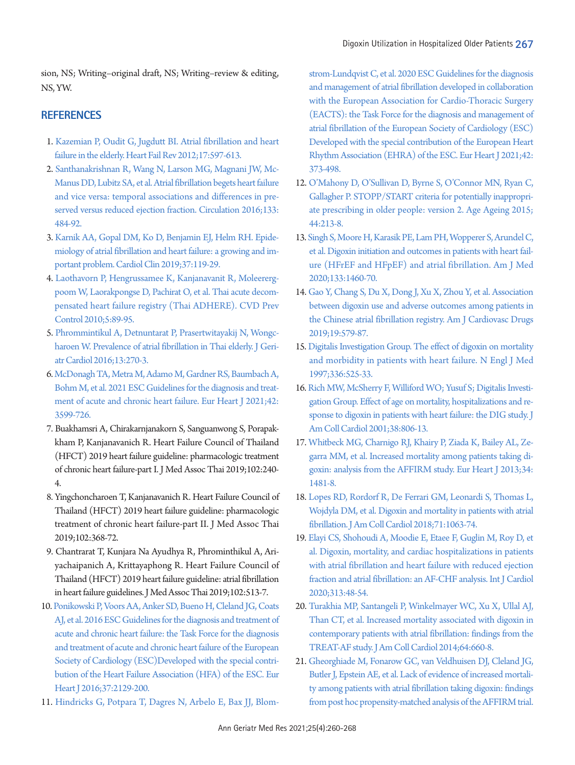sion, NS; Writing–original draft, NS; Writing–review & editing, NS, YW.

## **REFERENCES**

- 1. [Kazemian P, Oudit G, Jugdutt BI. Atrial fibrillation and heart](https://doi.org/10.1007/s10741-011-9290-y)  [failure in the elderly. Heart Fail Rev 2012;17:597-613.](https://doi.org/10.1007/s10741-011-9290-y)
- <span id="page-7-0"></span>2. Santhanakrishnan R, [Wang N, Larson MG, Magnani JW, Mc-](https://doi.org/10.1161/circulationaha.115.018614)[Manus DD, Lubitz SA, et al. Atrial fibrillation begets heart failure](https://doi.org/10.1161/circulationaha.115.018614)  [and vice versa: temporal associations and differences in pre](https://doi.org/10.1161/circulationaha.115.018614)[served versus reduced ejection fraction. Circulation](https://doi.org/10.1161/circulationaha.115.018614) 2016;133: 484-92.
- <span id="page-7-1"></span>[3. Karnik AA, Gopal DM, Ko D, Benjamin EJ, Helm RH. Epide](https://doi.org/10.1016/j.ccl.2019.01.001)[miology of atrial fibrillation and heart failure: a growing and im](https://doi.org/10.1016/j.ccl.2019.01.001)[portant problem. Cardiol Clin 2019;37:119-29](https://doi.org/10.1016/j.ccl.2019.01.001).
- <span id="page-7-2"></span>[4. Laothavorn P, Hengrussamee K, Kanjanavanit R, Moleererg](https://doi.org/10.1016/j.cvdpc.2010.06.001)[poom W, Laorakpongse D, Pachirat O, et al. Thai acute decom](https://doi.org/10.1016/j.cvdpc.2010.06.001)[pensated heart failure registry \(Thai ADHERE\). CVD Prev](https://doi.org/10.1016/j.cvdpc.2010.06.001)  [Control 2010;5:89-95](https://doi.org/10.1016/j.cvdpc.2010.06.001).
- 5. [Phrommintikul A, Detnuntarat P, Prasertwitayakij N, Wongc](https://www.ncbi.nlm.nih.gov/pubmed/27103924)[haroen W. Prevalence of atrial fibrillation in Thai elderly. J Geri](https://www.ncbi.nlm.nih.gov/pubmed/27103924)[atr Cardiol 2016;13:270-3.](https://www.ncbi.nlm.nih.gov/pubmed/27103924)
- <span id="page-7-3"></span>[6. McDonagh TA, Metra M, Adamo M, Gardner RS, Baumbach A,](https://www.ncbi.nlm.nih.gov/pubmed/34447992)  [Bohm M, et al. 2021 ESC Guidelines for the diagnosis and treat](https://www.ncbi.nlm.nih.gov/pubmed/34447992)[ment of acute and chronic heart failure. Eur Heart J 2021;42:](https://www.ncbi.nlm.nih.gov/pubmed/34447992) [3599-726](https://www.ncbi.nlm.nih.gov/pubmed/34447992).
- 7. Buakhamsri A, Chirakarnjanakorn S, Sanguanwong S, Porapakkham P, Kanjanavanich R. Heart Failure Council of Thailand (HFCT) 2019 heart failure guideline: pharmacologic treatment of chronic heart failure-part I. J Med Assoc Thai 2019;102:240- 4.
- <span id="page-7-4"></span>8. Yingchoncharoen T, Kanjanavanich R. Heart Failure Council of Thailand (HFCT) 2019 heart failure guideline: pharmacologic treatment of chronic heart failure-part II. J Med Assoc Thai 2019;102:368-72.
- <span id="page-7-5"></span>9. Chantrarat T, Kunjara Na Ayudhya R, Phrominthikul A, Ariyachaipanich A, Krittayaphong R. Heart Failure Council of Thailand (HFCT) 2019 heart failure guideline: atrial fibrillation in heart failure guidelines. J Med Assoc Thai 2019;102:513-7.
- <span id="page-7-6"></span>10. Ponikowski P, [Voors AA, Anker SD, Bueno H, Cleland JG, Coats](https://doi.org/10.1093/eurheartj/ehw128)  [AJ, et al. 2016 ESC Guidelines for the diagnosis and treatment of](https://doi.org/10.1093/eurheartj/ehw128)  [acute and chronic heart failure: the Task Force for the diagnosis](https://doi.org/10.1093/eurheartj/ehw128)  [and treatment of acute and chronic heart](https://doi.org/10.1093/eurheartj/ehw128) failure of the European Society of Cardiology (ESC)Developed with the special contribution of the Heart Failure Association (HFA) of the ESC. Eur Heart J 2016;37:2129-200.
- <span id="page-7-7"></span>11. Hindricks G, Potpara T, Dagres N, Arbelo E, Bax JJ, Blom-

st[rom-Lundqvist C, et al. 2020 ESC Guidelines for the diagnosis](https://www.ncbi.nlm.nih.gov/pubmed/32860505)  [and management of atrial fibrillation developed in collaboration](https://www.ncbi.nlm.nih.gov/pubmed/32860505)  [with the European Association for Cardio-Thoracic](https://www.ncbi.nlm.nih.gov/pubmed/32860505) Surgery (EACTS): the Task Force for the diagnosis and management of atrial fibrillation of the European Society of Cardiology (ESC) Developed with the special contribution of the European Heart Rhythm Association (EHRA) of the ESC. Eur Heart J 2021;42: 373-498.

- 12. [O'Mahony D, O'Sullivan D, Byrne S, O'Connor MN, Ryan C,](https://doi.org/10.1093/ageing/afu145)  [Gallagher P. STOPP/START criteria for potentially inappropri](https://doi.org/10.1093/ageing/afu145)[ate prescribing in older people: version 2. Age Ageing 2015;](https://doi.org/10.1093/ageing/afu145) [44:213-8.](https://doi.org/10.1093/ageing/afu145)
- <span id="page-7-11"></span>13. Singh S, Moo[re H, Karasik PE, Lam PH, Wopperer S, Arundel C,](https://doi.org/10.1016/j.amjmed.2020.05.030)  [et al. Digoxin initiation and outcomes in patients with heart fail](https://doi.org/10.1016/j.amjmed.2020.05.030)[ure \(HFrEF and HFpEF\) and atrial fibrillation. Am J Med](https://doi.org/10.1016/j.amjmed.2020.05.030)  [2020;133:1460-70.](https://doi.org/10.1016/j.amjmed.2020.05.030)
- <span id="page-7-8"></span>14[. Gao Y, Chang S, Du X, Dong J, Xu X, Zhou Y, et al. Association](https://doi.org/10.1007/s40256-019-00350-8)  [between digoxin use and adverse outcomes among patients in](https://doi.org/10.1007/s40256-019-00350-8)  [the Chinese atrial fibrillation registry. Am J Cardiovasc Drugs](https://doi.org/10.1007/s40256-019-00350-8)  [2019;19:579-87.](https://doi.org/10.1007/s40256-019-00350-8)
- <span id="page-7-9"></span>15[. Digitalis Investigation Group. The effect of digoxin on mortality](https://doi.org/10.1056/nejm199702203360801)  [and morbidity in patients with heart failure. N Engl J Med](https://doi.org/10.1056/nejm199702203360801)  [1997;336:525-33](https://doi.org/10.1056/nejm199702203360801).
- <span id="page-7-10"></span>16[. Rich MW, McSherry F, Williford WO; Yusuf S; Digitalis Investi](https://doi.org/10.1016/s0735-1097(01)01442-5)[gation Group. Effect of age on mortality, hospitalizations and re](https://doi.org/10.1016/s0735-1097(01)01442-5)[sponse to digoxin in patients with heart failure: the DIG study. J](https://doi.org/10.1016/s0735-1097(01)01442-5)  [Am Coll Cardiol 2001;38:806-13.](https://doi.org/10.1016/s0735-1097(01)01442-5)
- <span id="page-7-13"></span>17. Whitbeck MG, Charnigo RJ, Khairy [P, Ziada K, Bailey AL, Ze](https://doi.org/10.1093/eurheartj/ehs348)[garra MM, et al. Increased mortality among patients taking di](https://doi.org/10.1093/eurheartj/ehs348)[goxin: analysis from the AFFIRM study. Eur Heart J 2013;34:](https://doi.org/10.1093/eurheartj/ehs348) [1481-8.](https://doi.org/10.1093/eurheartj/ehs348)
- <span id="page-7-14"></span>18. Lopes R[D, Rordorf R, De Ferrari GM, Leonardi S, Thomas L,](https://doi.org/10.1016/j.jacc.2017.12.060)  [Wojdyla DM, et al. Digoxin and mortality in patients with atrial](https://doi.org/10.1016/j.jacc.2017.12.060)  [fibrillation. J Am Coll Cardiol 2018;71:1063-74.](https://doi.org/10.1016/j.jacc.2017.12.060)
- <span id="page-7-12"></span>19[. Elayi CS, Shohoudi A, Moodie E, Etaee F, Guglin M, Roy D, et](https://doi.org/10.1016/j.ijcard.2020.04.047)  [al. Digoxin, mortality, and cardiac hospitalizations in patients](https://doi.org/10.1016/j.ijcard.2020.04.047)  [with atrial fibrillation and heart failure with reduced ejection](https://doi.org/10.1016/j.ijcard.2020.04.047)  [fraction and atrial fibrillation: an AF-CHF analysis. Int J](https://doi.org/10.1016/j.ijcard.2020.04.047) Cardiol 2020;313:48-54.
- <span id="page-7-15"></span>20. [Turakhia MP, Santangeli P, Winkelmayer WC, Xu X, Ullal AJ,](https://doi.org/10.1016/j.jacc.2014.03.060)  [Than CT, et al. Increased mortality associated with digoxin in](https://doi.org/10.1016/j.jacc.2014.03.060)  [contemporary patients with atrial fibrillation: findings from the](https://doi.org/10.1016/j.jacc.2014.03.060)  [TREAT-AF study. J Am Coll Cardiol 2014;64:660-8](https://doi.org/10.1016/j.jacc.2014.03.060).
- 21. [Gheorghiade M, Fonarow GC, van Veldhuisen DJ, Cleland JG,](https://doi.org/10.1093/eurheartj/eht120)  [Butler J, Epstein AE, et al. Lack of evidence of increased mortali](https://doi.org/10.1093/eurheartj/eht120)[ty among patients with atrial fibrillation taking digoxin: findings](https://doi.org/10.1093/eurheartj/eht120)  [from post hoc propensity-matched analysis of](https://doi.org/10.1093/eurheartj/eht120) the AFFIRM trial.